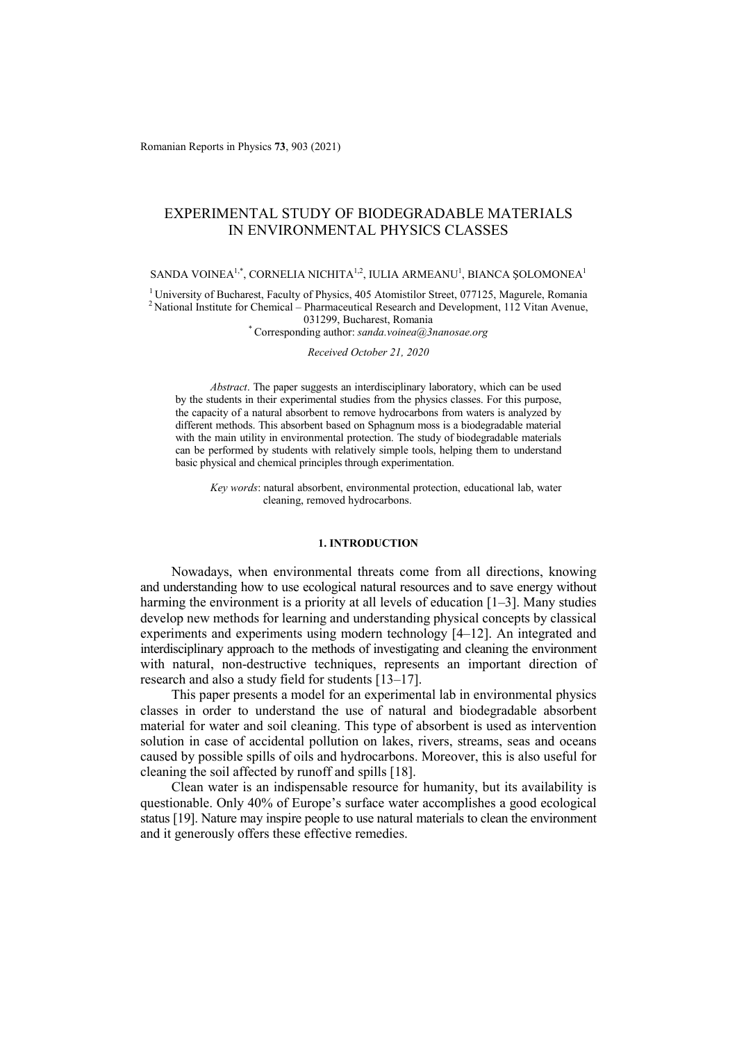Romanian Reports in Physics **73**, 903 (2021)

# EXPERIMENTAL STUDY OF BIODEGRADABLE MATERIALS IN ENVIRONMENTAL PHYSICS CLASSES

# SANDA VOINEA $^{1,*}$ , CORNELIA NICHITA $^{1,2}$ , IULIA ARMEANU $^{1}$ , BIANCA ȘOLOMONEA $^{1}$

<sup>1</sup> University of Bucharest, Faculty of Physics, 405 Atomistilor Street, 077125, Magurele, Romania <sup>2</sup> National Institute for Chemical – Pharmaceutical Research and Development, 112 Vitan Avenue,

031299, Bucharest, Romania \* Corresponding author: *sanda.voinea@3nanosae.org* 

*Received October 21, 2020* 

*Abstract*. The paper suggests an interdisciplinary laboratory, which can be used by the students in their experimental studies from the physics classes. For this purpose, the capacity of a natural absorbent to remove hydrocarbons from waters is analyzed by different methods. This absorbent based on Sphagnum moss is a biodegradable material with the main utility in environmental protection. The study of biodegradable materials can be performed by students with relatively simple tools, helping them to understand basic physical and chemical principles through experimentation.

*Key words*: natural absorbent, environmental protection, educational lab, water cleaning, removed hydrocarbons.

### **1. INTRODUCTION**

Nowadays, when environmental threats come from all directions, knowing and understanding how to use ecological natural resources and to save energy without harming the environment is a priority at all levels of education [1–3]. Many studies develop new methods for learning and understanding physical concepts by classical experiments and experiments using modern technology [4–12]. An integrated and interdisciplinary approach to the methods of investigating and cleaning the environment with natural, non-destructive techniques, represents an important direction of research and also a study field for students [13–17].

This paper presents a model for an experimental lab in environmental physics classes in order to understand the use of natural and biodegradable absorbent material for water and soil cleaning. This type of absorbent is used as intervention solution in case of accidental pollution on lakes, rivers, streams, seas and oceans caused by possible spills of oils and hydrocarbons. Moreover, this is also useful for cleaning the soil affected by runoff and spills [18].

Clean water is an indispensable resource for humanity, but its availability is questionable. Only 40% of Europe's surface water accomplishes a good ecological status [19]. Nature may inspire people to use natural materials to clean the environment and it generously offers these effective remedies.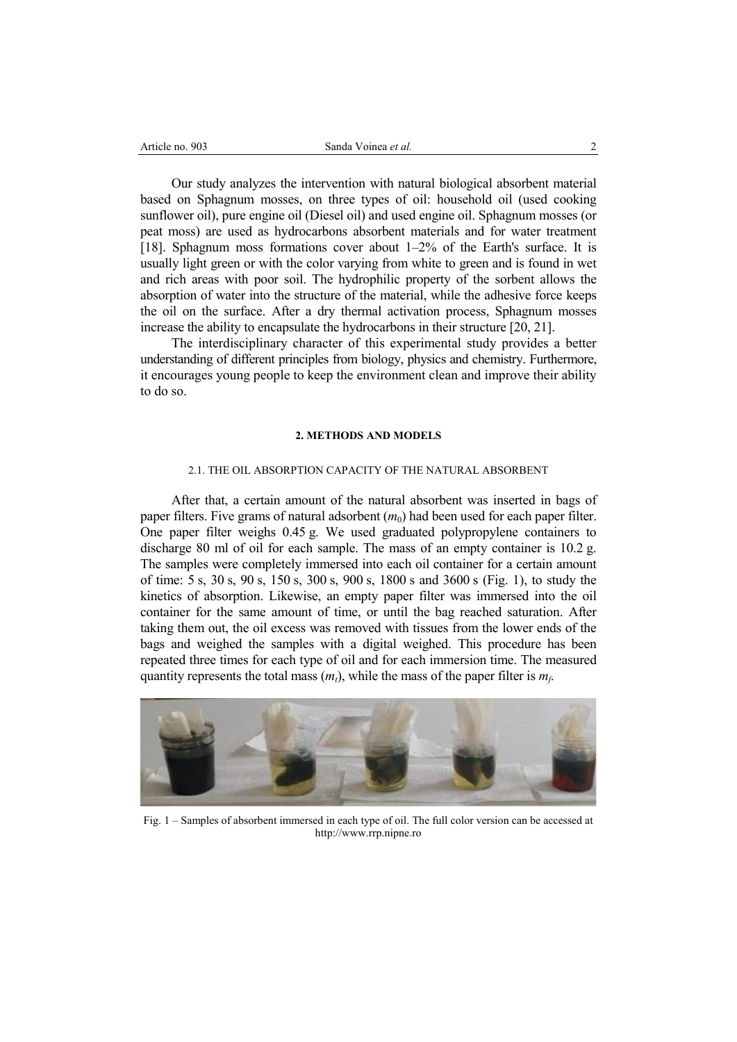Our study analyzes the intervention with natural biological absorbent material based on Sphagnum mosses, on three types of oil: household oil (used cooking sunflower oil), pure engine oil (Diesel oil) and used engine oil. Sphagnum mosses (or peat moss) are used as hydrocarbons absorbent materials and for water treatment [18]. Sphagnum moss formations cover about 1–2% of the Earth's surface. It is usually light green or with the color varying from white to green and is found in wet and rich areas with poor soil. The hydrophilic property of the sorbent allows the absorption of water into the structure of the material, while the adhesive force keeps the oil on the surface. After a dry thermal activation process, Sphagnum mosses increase the ability to encapsulate the hydrocarbons in their structure [20, 21].

The interdisciplinary character of this experimental study provides a better understanding of different principles from biology, physics and chemistry. Furthermore, it encourages young people to keep the environment clean and improve their ability to do so.

#### **2. METHODS AND MODELS**

# 2.1. THE OIL ABSORPTION CAPACITY OF THE NATURAL ABSORBENT

After that, a certain amount of the natural absorbent was inserted in bags of paper filters. Five grams of natural adsorbent  $(m_0)$  had been used for each paper filter. One paper filter weighs 0.45 g. We used graduated polypropylene containers to discharge 80 ml of oil for each sample. The mass of an empty container is 10.2 g. The samples were completely immersed into each oil container for a certain amount of time: 5 s, 30 s, 90 s, 150 s, 300 s, 900 s, 1800 s and 3600 s (Fig. 1), to study the kinetics of absorption. Likewise, an empty paper filter was immersed into the oil container for the same amount of time, or until the bag reached saturation. After taking them out, the oil excess was removed with tissues from the lower ends of the bags and weighed the samples with a digital weighed. This procedure has been repeated three times for each type of oil and for each immersion time. The measured quantity represents the total mass  $(m_t)$ , while the mass of the paper filter is  $m_f$ .



Fig. 1 – Samples of absorbent immersed in each type of oil. The full color version can be accessed at http://www.rrp.nipne.ro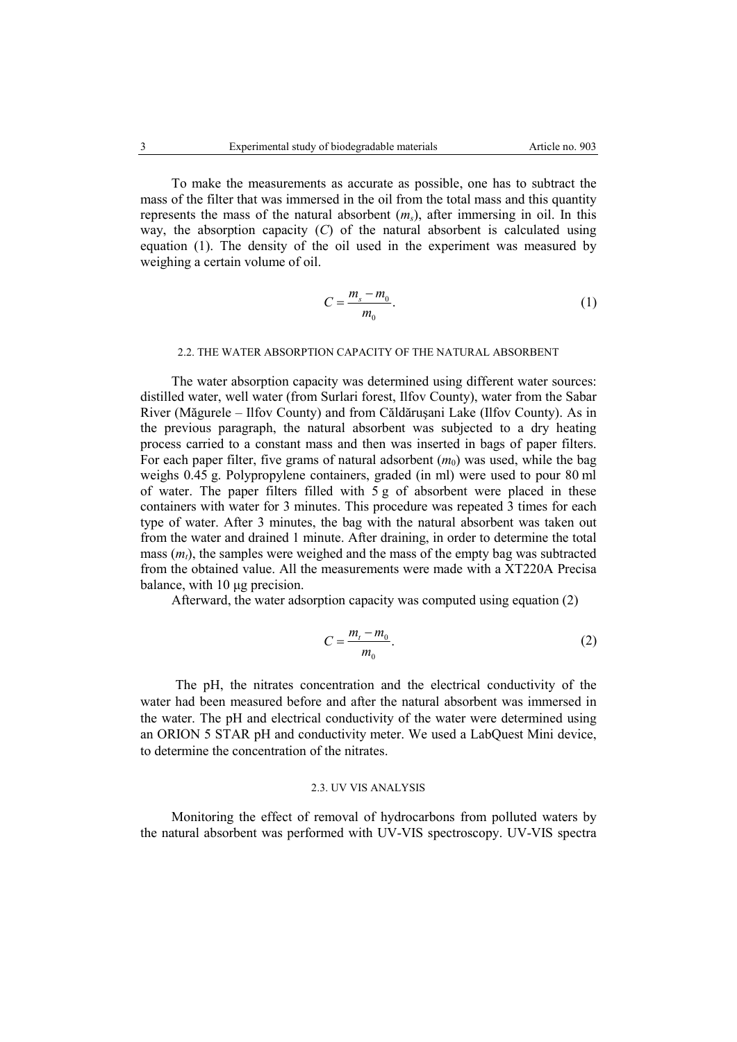To make the measurements as accurate as possible, one has to subtract the mass of the filter that was immersed in the oil from the total mass and this quantity represents the mass of the natural absorbent  $(m<sub>s</sub>)$ , after immersing in oil. In this way, the absorption capacity (*C*) of the natural absorbent is calculated using equation (1). The density of the oil used in the experiment was measured by weighing a certain volume of oil.

$$
C = \frac{m_s - m_0}{m_0}.\tag{1}
$$

# 2.2. THE WATER ABSORPTION CAPACITY OF THE NATURAL ABSORBENT

The water absorption capacity was determined using different water sources: distilled water, well water (from Surlari forest, Ilfov County), water from the Sabar River (Măgurele – Ilfov County) and from Căldăruşani Lake (Ilfov County). As in the previous paragraph, the natural absorbent was subjected to a dry heating process carried to a constant mass and then was inserted in bags of paper filters. For each paper filter, five grams of natural adsorbent  $(m_0)$  was used, while the bag weighs 0.45 g. Polypropylene containers, graded (in ml) were used to pour 80 ml of water. The paper filters filled with 5 g of absorbent were placed in these containers with water for 3 minutes. This procedure was repeated 3 times for each type of water. After 3 minutes, the bag with the natural absorbent was taken out from the water and drained 1 minute. After draining, in order to determine the total mass  $(m_t)$ , the samples were weighed and the mass of the empty bag was subtracted from the obtained value. All the measurements were made with a XT220A Precisa balance, with 10 μg precision.

Afterward, the water adsorption capacity was computed using equation (2)

$$
C = \frac{m_t - m_0}{m_0}.\tag{2}
$$

The pH, the nitrates concentration and the electrical conductivity of the water had been measured before and after the natural absorbent was immersed in the water. The pH and electrical conductivity of the water were determined using an ORION 5 STAR pH and conductivity meter. We used a LabQuest Mini device, to determine the concentration of the nitrates.

#### 2.3. UV VIS ANALYSIS

Monitoring the effect of removal of hydrocarbons from polluted waters by the natural absorbent was performed with UV-VIS spectroscopy. UV-VIS spectra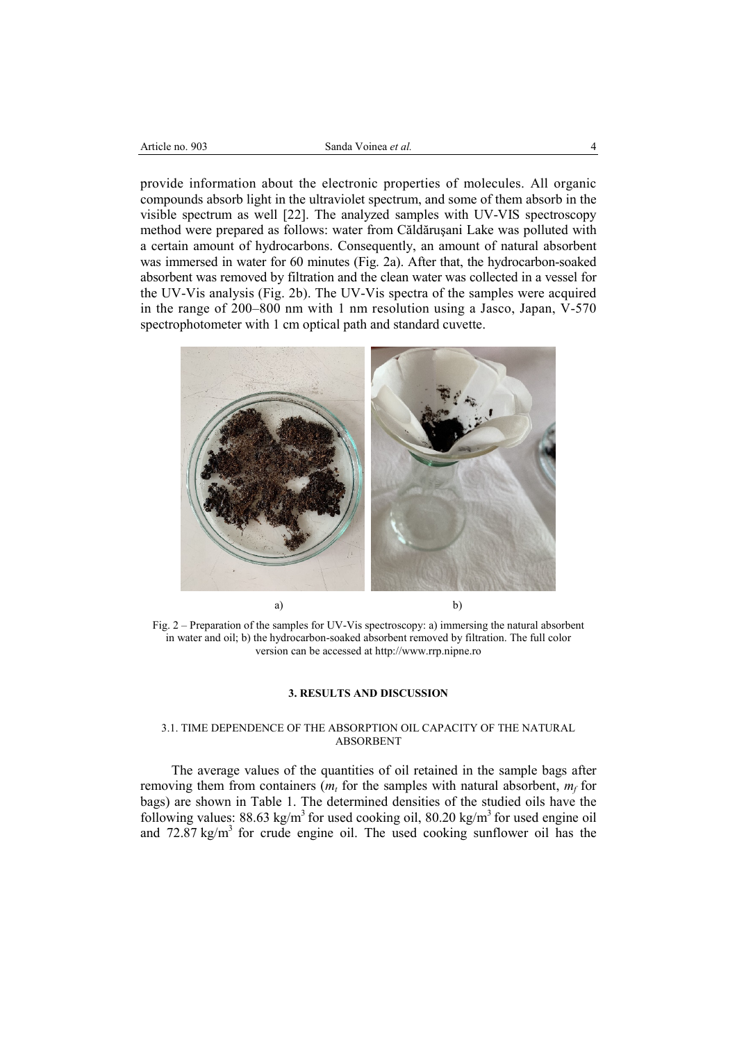provide information about the electronic properties of molecules. All organic compounds absorb light in the ultraviolet spectrum, and some of them absorb in the visible spectrum as well [22]. The analyzed samples with UV-VIS spectroscopy method were prepared as follows: water from Căldăruşani Lake was polluted with a certain amount of hydrocarbons. Consequently, an amount of natural absorbent was immersed in water for 60 minutes (Fig. 2a). After that, the hydrocarbon-soaked absorbent was removed by filtration and the clean water was collected in a vessel for the UV-Vis analysis (Fig. 2b). The UV-Vis spectra of the samples were acquired in the range of 200–800 nm with 1 nm resolution using a Jasco, Japan, V-570 spectrophotometer with 1 cm optical path and standard cuvette.



Fig. 2 – Preparation of the samples for UV-Vis spectroscopy: a) immersing the natural absorbent in water and oil; b) the hydrocarbon-soaked absorbent removed by filtration. The full color version can be accessed at http://www.rrp.nipne.ro

#### **3. RESULTS AND DISCUSSION**

## 3.1. TIME DEPENDENCE OF THE ABSORPTION OIL CAPACITY OF THE NATURAL ABSORBENT

The average values of the quantities of oil retained in the sample bags after removing them from containers ( $m_t$  for the samples with natural absorbent,  $m_f$  for bags) are shown in Table 1. The determined densities of the studied oils have the following values:  $88.63 \text{ kg/m}^3$  for used cooking oil,  $80.20 \text{ kg/m}^3$  for used engine oil and  $72.87 \text{ kg/m}^3$  for crude engine oil. The used cooking sunflower oil has the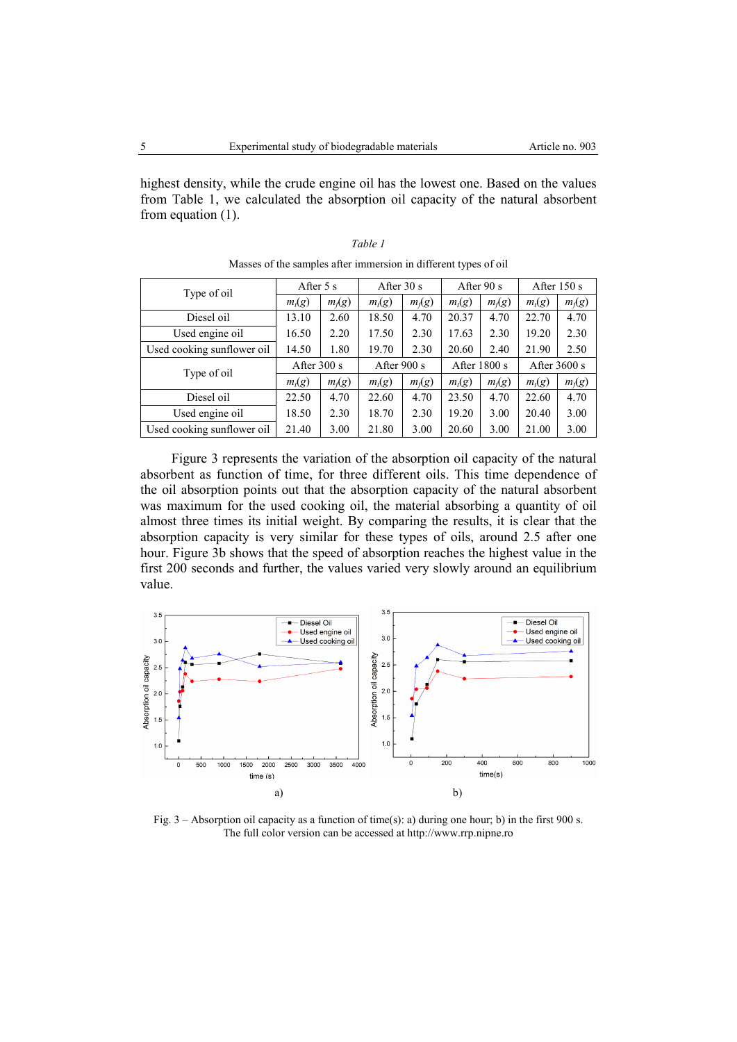highest density, while the crude engine oil has the lowest one. Based on the values from Table 1, we calculated the absorption oil capacity of the natural absorbent from equation (1).

| Type of oil                | After 5 s     |                    | After 30 s  |      | After 90 s     |                    | After $150 s$  |                    |
|----------------------------|---------------|--------------------|-------------|------|----------------|--------------------|----------------|--------------------|
|                            | $m_t(g)$      | m <sub>f</sub> (g) | $m_t(g)$    | m(g) | $m_t(g)$       | m <sub>f</sub> (g) | $m_t(g)$       | m <sub>f</sub> (g) |
| Diesel oil                 | 13.10         | 2.60               | 18.50       | 4.70 | 20.37          | 4.70               | 22.70          | 4.70               |
| Used engine oil            | 16.50         | 2.20               | 17.50       | 2.30 | 17.63          | 2.30               | 19.20          | 2.30               |
| Used cooking sunflower oil | 14.50         | 1.80               | 19.70       | 2.30 | 20.60          | 2.40               | 21.90          | 2.50               |
| Type of oil                | After $300 s$ |                    | After 900 s |      | After $1800 s$ |                    | After $3600 s$ |                    |
|                            | $m_t(g)$      | m(g)               | $m_t(g)$    | m(g) | $m_t(g)$       | m <sub>f</sub> (g) | $m_t(g)$       | m <sub>f</sub> (g) |
| Diesel oil                 | 22.50         | 4.70               | 22.60       | 4.70 | 23.50          | 4.70               | 22.60          | 4.70               |
| Used engine oil            | 18.50         | 2.30               | 18.70       | 2.30 | 19.20          | 3.00               | 20.40          | 3.00               |
| Used cooking sunflower oil | 21.40         | 3.00               | 21.80       | 3.00 | 20.60          | 3.00               | 21.00          | 3.00               |

*Table 1*  Masses of the samples after immersion in different types of oil

Figure 3 represents the variation of the absorption oil capacity of the natural absorbent as function of time, for three different oils. This time dependence of the oil absorption points out that the absorption capacity of the natural absorbent was maximum for the used cooking oil, the material absorbing a quantity of oil almost three times its initial weight. By comparing the results, it is clear that the absorption capacity is very similar for these types of oils, around 2.5 after one hour. Figure 3b shows that the speed of absorption reaches the highest value in the first 200 seconds and further, the values varied very slowly around an equilibrium value.



Fig. 3 – Absorption oil capacity as a function of time(s): a) during one hour; b) in the first 900 s. The full color version can be accessed at http://www.rrp.nipne.ro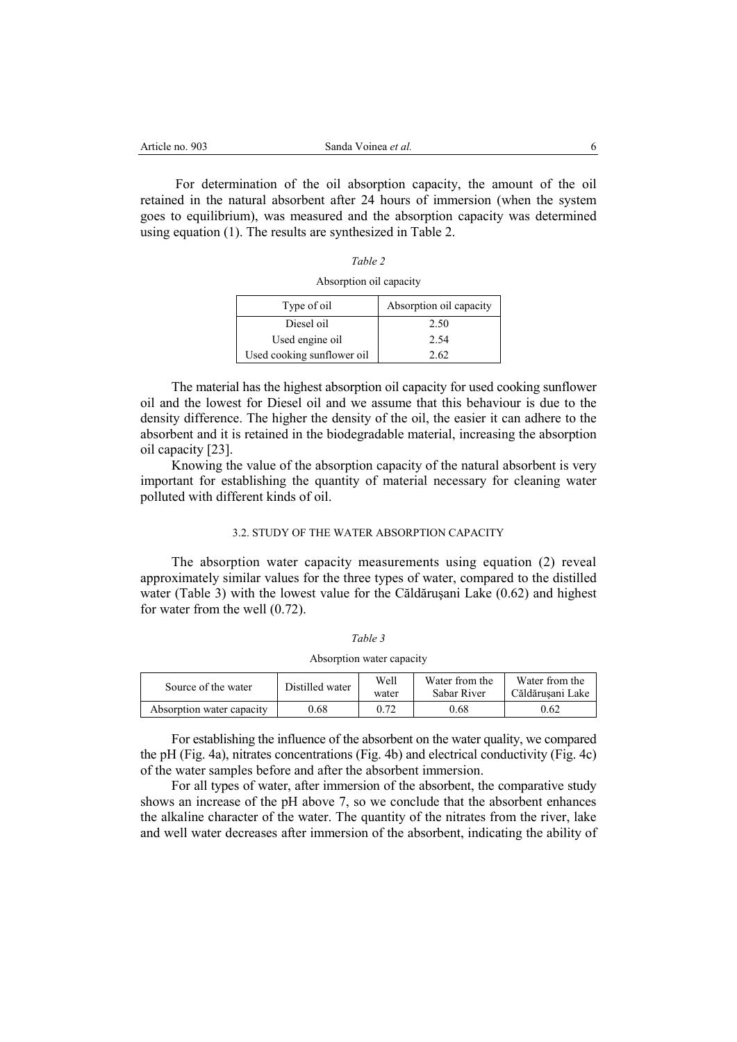| -903<br>Article no. | sanda<br>Voinea <i>et al.</i> |  |
|---------------------|-------------------------------|--|
|                     |                               |  |

For determination of the oil absorption capacity, the amount of the oil retained in the natural absorbent after 24 hours of immersion (when the system goes to equilibrium), was measured and the absorption capacity was determined using equation (1). The results are synthesized in Table 2.

|--|--|

## Absorption oil capacity

| Type of oil                | Absorption oil capacity |  |  |
|----------------------------|-------------------------|--|--|
| Diesel oil                 | 2.50                    |  |  |
| Used engine oil            | 2.54                    |  |  |
| Used cooking sunflower oil | 2.62                    |  |  |

The material has the highest absorption oil capacity for used cooking sunflower oil and the lowest for Diesel oil and we assume that this behaviour is due to the density difference. The higher the density of the oil, the easier it can adhere to the absorbent and it is retained in the biodegradable material, increasing the absorption oil capacity [23].

Knowing the value of the absorption capacity of the natural absorbent is very important for establishing the quantity of material necessary for cleaning water polluted with different kinds of oil.

# 3.2. STUDY OF THE WATER ABSORPTION CAPACITY

The absorption water capacity measurements using equation (2) reveal approximately similar values for the three types of water, compared to the distilled water (Table 3) with the lowest value for the Căldăruşani Lake (0.62) and highest for water from the well (0.72).

Absorption water capacity

| Source of the water       | Distilled water | Well<br>water | Water from the<br>Sabar River | Water from the<br>Căldărusani Lake |  |
|---------------------------|-----------------|---------------|-------------------------------|------------------------------------|--|
| Absorption water capacity | 9.68            | 0.72          | $0.68\,$                      | 0.62                               |  |

For establishing the influence of the absorbent on the water quality, we compared the pH (Fig. 4a), nitrates concentrations (Fig. 4b) and electrical conductivity (Fig. 4c) of the water samples before and after the absorbent immersion.

For all types of water, after immersion of the absorbent, the comparative study shows an increase of the pH above 7, so we conclude that the absorbent enhances the alkaline character of the water. The quantity of the nitrates from the river, lake and well water decreases after immersion of the absorbent, indicating the ability of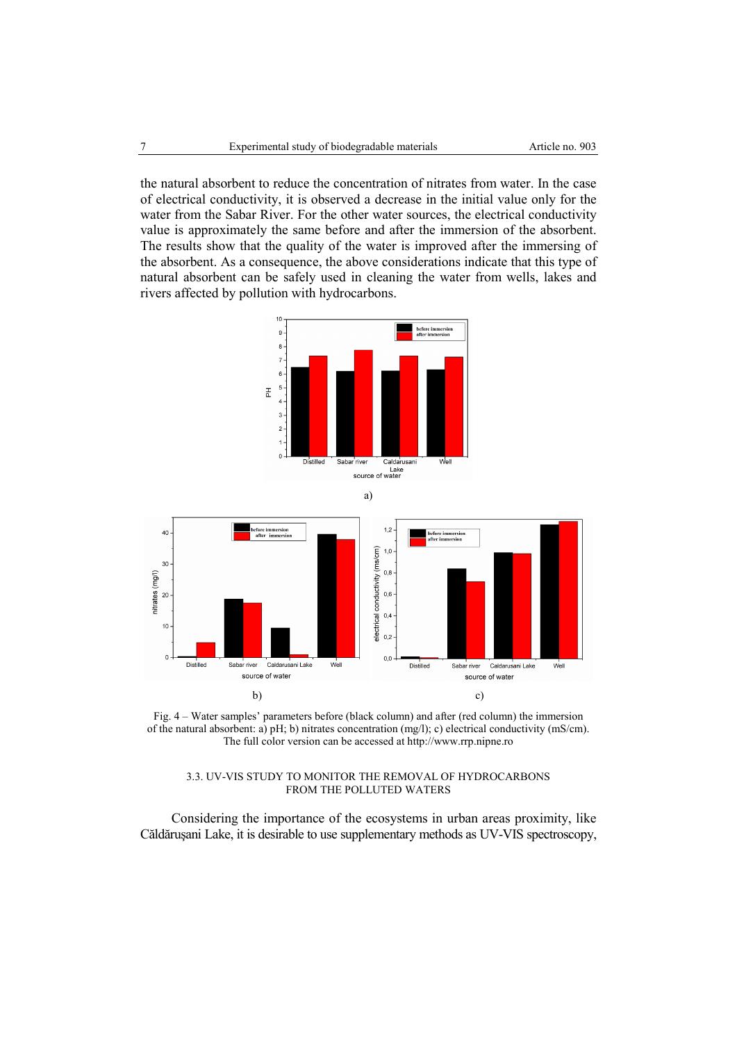the natural absorbent to reduce the concentration of nitrates from water. In the case of electrical conductivity, it is observed a decrease in the initial value only for the water from the Sabar River. For the other water sources, the electrical conductivity value is approximately the same before and after the immersion of the absorbent. The results show that the quality of the water is improved after the immersing of the absorbent. As a consequence, the above considerations indicate that this type of natural absorbent can be safely used in cleaning the water from wells, lakes and rivers affected by pollution with hydrocarbons.



Fig. 4 – Water samples' parameters before (black column) and after (red column) the immersion of the natural absorbent: a) pH; b) nitrates concentration (mg/l); c) electrical conductivity (mS/cm). The full color version can be accessed at http://www.rrp.nipne.ro

# 3.3. UV-VIS STUDY TO MONITOR THE REMOVAL OF HYDROCARBONS FROM THE POLLUTED WATERS

Considering the importance of the ecosystems in urban areas proximity, like Căldăruşani Lake, it is desirable to use supplementary methods as UV-VIS spectroscopy,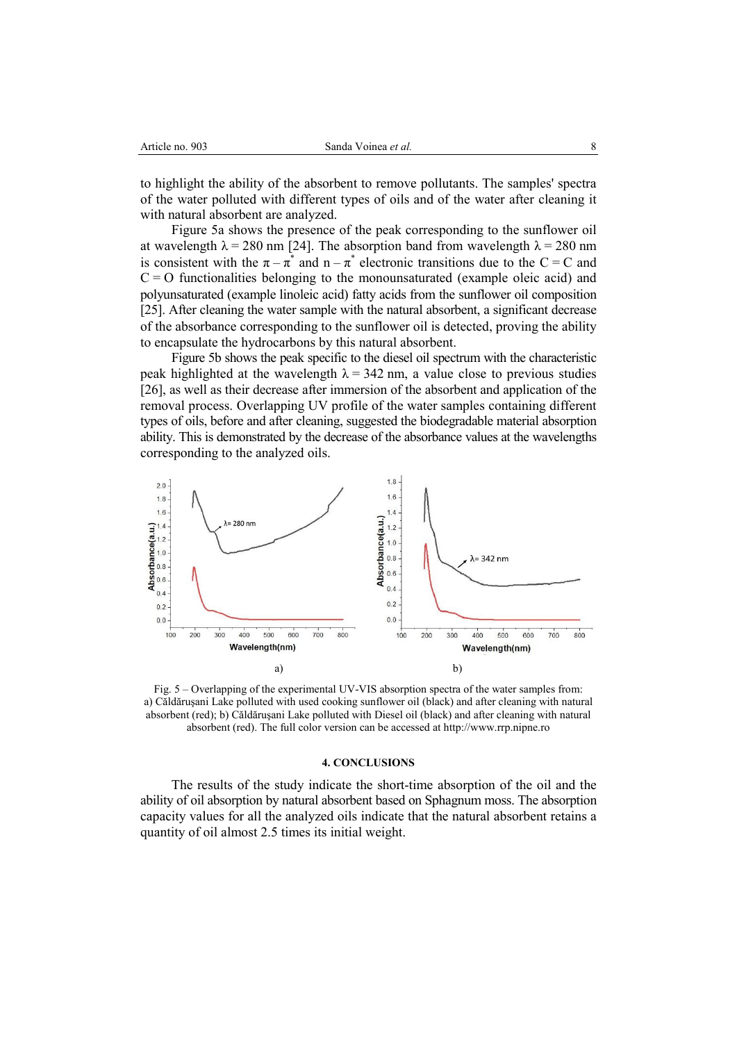to highlight the ability of the absorbent to remove pollutants. The samples' spectra of the water polluted with different types of oils and of the water after cleaning it with natural absorbent are analyzed.

Figure 5a shows the presence of the peak corresponding to the sunflower oil at wavelength  $\lambda = 280$  nm [24]. The absorption band from wavelength  $\lambda = 280$  nm is consistent with the  $\pi - \pi^*$  and  $n - \pi^*$  electronic transitions due to the C = C and  $C = O$  functionalities belonging to the monounsaturated (example oleic acid) and polyunsaturated (example linoleic acid) fatty acids from the sunflower oil composition [25]. After cleaning the water sample with the natural absorbent, a significant decrease of the absorbance corresponding to the sunflower oil is detected, proving the ability to encapsulate the hydrocarbons by this natural absorbent.

Figure 5b shows the peak specific to the diesel oil spectrum with the characteristic peak highlighted at the wavelength  $\lambda = 342$  nm, a value close to previous studies [26], as well as their decrease after immersion of the absorbent and application of the removal process. Overlapping UV profile of the water samples containing different types of oils, before and after cleaning, suggested the biodegradable material absorption ability. This is demonstrated by the decrease of the absorbance values at the wavelengths corresponding to the analyzed oils.



Fig. 5 – Overlapping of the experimental UV-VIS absorption spectra of the water samples from: a) Căldăruşani Lake polluted with used cooking sunflower oil (black) and after cleaning with natural absorbent (red); b) Căldăruşani Lake polluted with Diesel oil (black) and after cleaning with natural absorbent (red). The full color version can be accessed at http://www.rrp.nipne.ro

### **4. CONCLUSIONS**

The results of the study indicate the short-time absorption of the oil and the ability of oil absorption by natural absorbent based on Sphagnum moss. The absorption capacity values for all the analyzed oils indicate that the natural absorbent retains a quantity of oil almost 2.5 times its initial weight.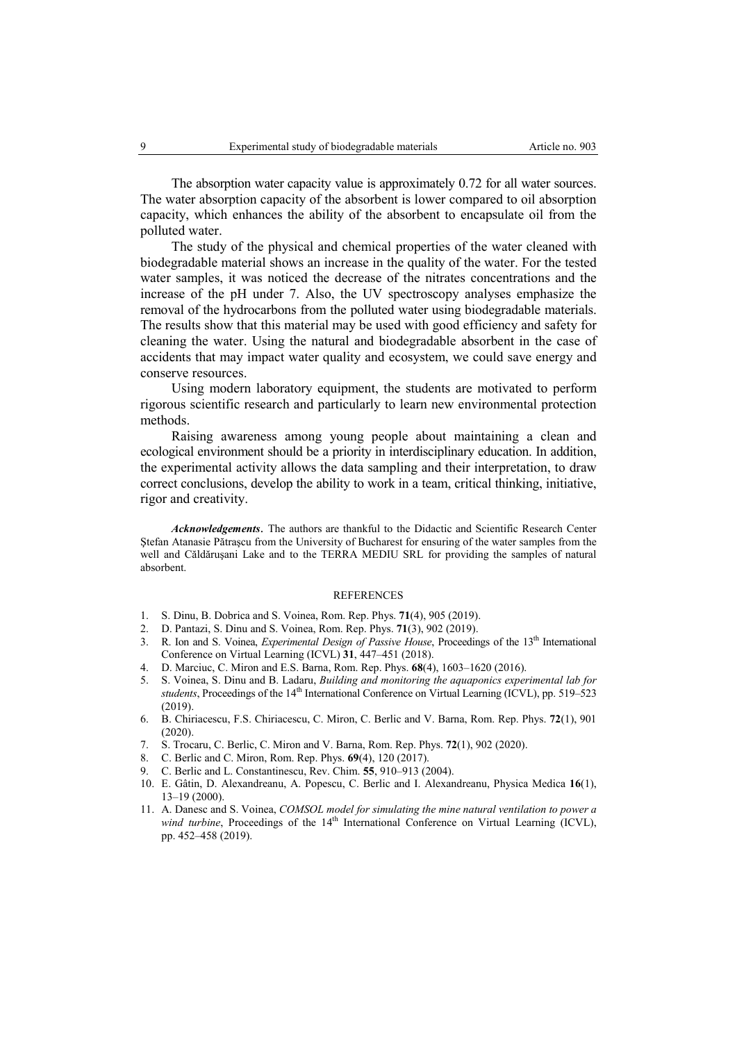The absorption water capacity value is approximately 0.72 for all water sources. The water absorption capacity of the absorbent is lower compared to oil absorption capacity, which enhances the ability of the absorbent to encapsulate oil from the polluted water.

The study of the physical and chemical properties of the water cleaned with biodegradable material shows an increase in the quality of the water. For the tested water samples, it was noticed the decrease of the nitrates concentrations and the increase of the pH under 7. Also, the UV spectroscopy analyses emphasize the removal of the hydrocarbons from the polluted water using biodegradable materials. The results show that this material may be used with good efficiency and safety for cleaning the water. Using the natural and biodegradable absorbent in the case of accidents that may impact water quality and ecosystem, we could save energy and conserve resources.

Using modern laboratory equipment, the students are motivated to perform rigorous scientific research and particularly to learn new environmental protection methods.

Raising awareness among young people about maintaining a clean and ecological environment should be a priority in interdisciplinary education. In addition, the experimental activity allows the data sampling and their interpretation, to draw correct conclusions, develop the ability to work in a team, critical thinking, initiative, rigor and creativity.

*Acknowledgements*. The authors are thankful to the Didactic and Scientific Research Center Ştefan Atanasie Pătraşcu from the University of Bucharest for ensuring of the water samples from the well and Căldăruşani Lake and to the TERRA MEDIU SRL for providing the samples of natural absorbent.

#### **REFERENCES**

- 1. S. Dinu, B. Dobrica and S. Voinea, Rom. Rep. Phys. **71**(4), 905 (2019).
- 2. D. Pantazi, S. Dinu and S. Voinea, Rom. Rep. Phys. **71**(3), 902 (2019).
- 3. R. Ion and S. Voinea, *Experimental Design of Passive House*, Proceedings of the 13<sup>th</sup> International Conference on Virtual Learning (ICVL) **31**, 447–451 (2018).
- 4. D. Marciuc, C. Miron and E.S. Barna, Rom. Rep. Phys. **68**(4), 1603–1620 (2016).
- 5. S. Voinea, S. Dinu and B. Ladaru, *Building and monitoring the aquaponics experimental lab for students*, Proceedings of the 14<sup>th</sup> International Conference on Virtual Learning (ICVL), pp. 519–523  $(2019)$
- 6. B. Chiriacescu, F.S. Chiriacescu, C. Miron, C. Berlic and V. Barna, Rom. Rep. Phys. **72**(1), 901 (2020).
- 7. S. Trocaru, C. Berlic, C. Miron and V. Barna, Rom. Rep. Phys. **72**(1), 902 (2020).
- 8. C. Berlic and C. Miron, Rom. Rep. Phys. **69**(4), 120 (2017).
- 9. C. Berlic and L. Constantinescu, Rev. Chim. **55**, 910–913 (2004).
- 10. E. Gâtin, D. Alexandreanu, A. Popescu, C. Berlic and I. Alexandreanu, Physica Medica **16**(1), 13–19 (2000).
- 11. A. Danesc and S. Voinea, *COMSOL model for simulating the mine natural ventilation to power a wind turbine*, Proceedings of the  $14<sup>th</sup>$  International Conference on Virtual Learning (ICVL), pp. 452–458 (2019).